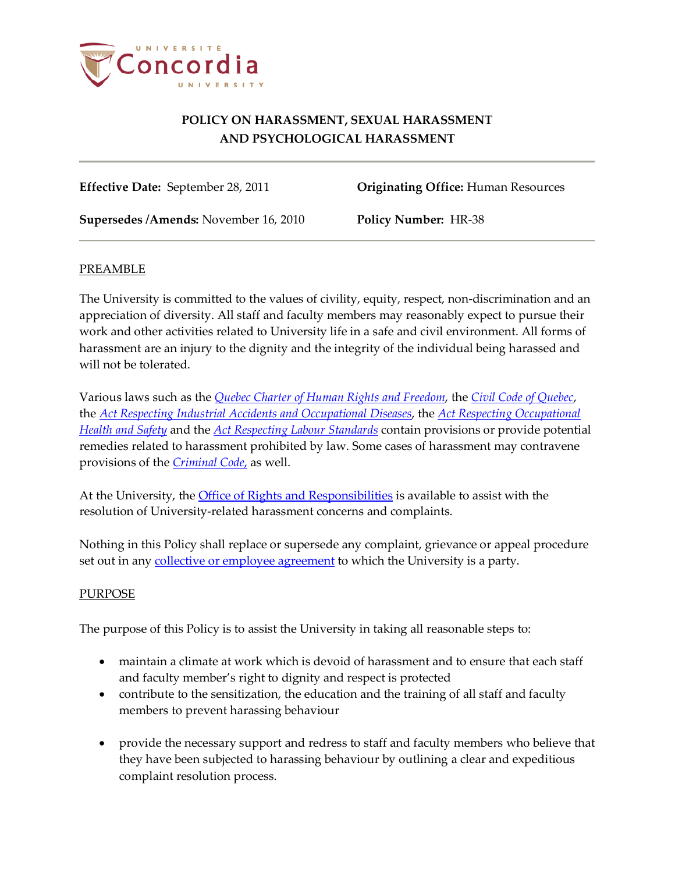

**Effective Date:** September 28, 2011 **Originating Office:** Human Resources

**Supersedes /Amends:** November 16, 2010 **Policy Number:** HR-38

## PREAMBLE

The University is committed to the values of civility, equity, respect, non-discrimination and an appreciation of diversity. All staff and faculty members may reasonably expect to pursue their work and other activities related to University life in a safe and civil environment. All forms of harassment are an injury to the dignity and the integrity of the individual being harassed and will not be tolerated.

Various laws such as the *[Quebec Charter of Human Rights and Freedom](http://www2.publicationsduquebec.gouv.qc.ca/dynamicSearch/telecharge.php?type=2&file=/C_12/C12_A.html)*, the *[Civil Code of Quebec](http://www2.publicationsduquebec.gouv.qc.ca/dynamicSearch/telecharge.php?type=2&file=%2F%2FC_1991%2FC1991_A.htm)*, the *[Act Respecting Industrial Accidents and Occupational Diseases](http://www2.publicationsduquebec.gouv.qc.ca/dynamicSearch/telecharge.php?type=2&file=%2F%2FA_3_001%2FA3_001_A.htm)*, the *[Act Respecting Occupational](http://www2.publicationsduquebec.gouv.qc.ca/dynamicSearch/telecharge.php?type=2&file=/S_2_1/S2_1_A.html)  [Health and Safety](http://www2.publicationsduquebec.gouv.qc.ca/dynamicSearch/telecharge.php?type=2&file=/S_2_1/S2_1_A.html)* and the *[Act Respecting Labour Standards](http://www2.publicationsduquebec.gouv.qc.ca/dynamicSearch/telecharge.php?type=2&file=/N_1_1/N1_1_A.html)* contain provisions or provide potential remedies related to harassment prohibited by law. Some cases of harassment may contravene provisions of the *[Criminal Code](http://laws-lois.justice.gc.ca/PDF/Statute/C/C-46.pdf)*, as well.

At the University, the *Office of Rights and Responsibilities* is available to assist with the resolution of University-related harassment concerns and complaints.

Nothing in this Policy shall replace or supersede any complaint, grievance or appeal procedure set out in any **collective or employee agreement** to which the University is a party.

## PURPOSE

The purpose of this Policy is to assist the University in taking all reasonable steps to:

- maintain a climate at work which is devoid of harassment and to ensure that each staff and faculty member's right to dignity and respect is protected
- contribute to the sensitization, the education and the training of all staff and faculty members to prevent harassing behaviour
- provide the necessary support and redress to staff and faculty members who believe that they have been subjected to harassing behaviour by outlining a clear and expeditious complaint resolution process.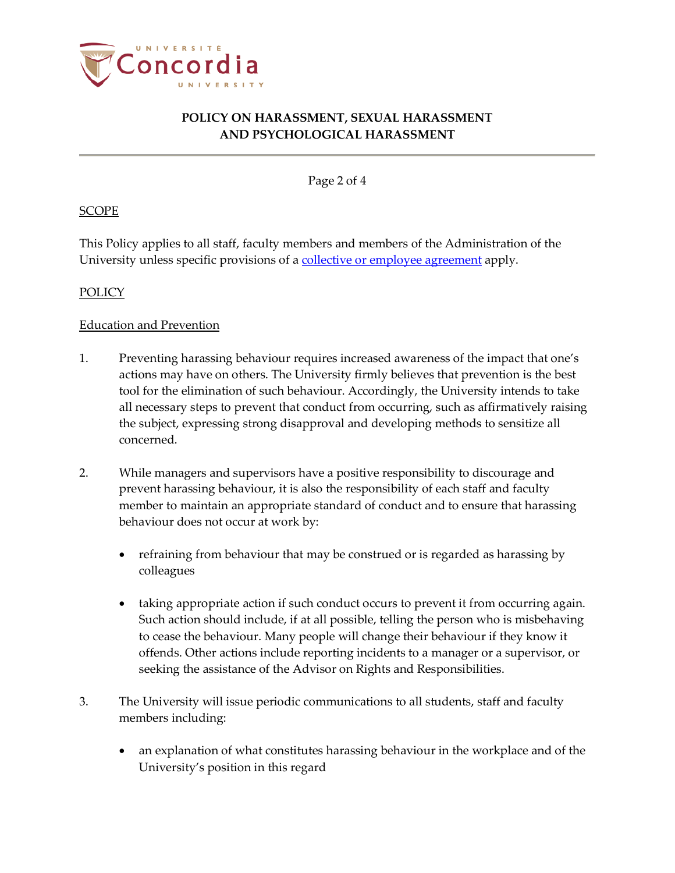

Page 2 of 4

### **SCOPE**

This Policy applies to all staff, faculty members and members of the Administration of the University unless specific provisions of [a collective or employee agreement](http://www.concordia.ca/hr/dept/employee-labour-relations/labour-agreements.html) apply.

### POLICY

#### Education and Prevention

- 1. Preventing harassing behaviour requires increased awareness of the impact that one's actions may have on others. The University firmly believes that prevention is the best tool for the elimination of such behaviour. Accordingly, the University intends to take all necessary steps to prevent that conduct from occurring, such as affirmatively raising the subject, expressing strong disapproval and developing methods to sensitize all concerned.
- 2. While managers and supervisors have a positive responsibility to discourage and prevent harassing behaviour, it is also the responsibility of each staff and faculty member to maintain an appropriate standard of conduct and to ensure that harassing behaviour does not occur at work by:
	- refraining from behaviour that may be construed or is regarded as harassing by colleagues
	- taking appropriate action if such conduct occurs to prevent it from occurring again. Such action should include, if at all possible, telling the person who is misbehaving to cease the behaviour. Many people will change their behaviour if they know it offends. Other actions include reporting incidents to a manager or a supervisor, or seeking the assistance of the Advisor on Rights and Responsibilities.
- 3. The University will issue periodic communications to all students, staff and faculty members including:
	- an explanation of what constitutes harassing behaviour in the workplace and of the University's position in this regard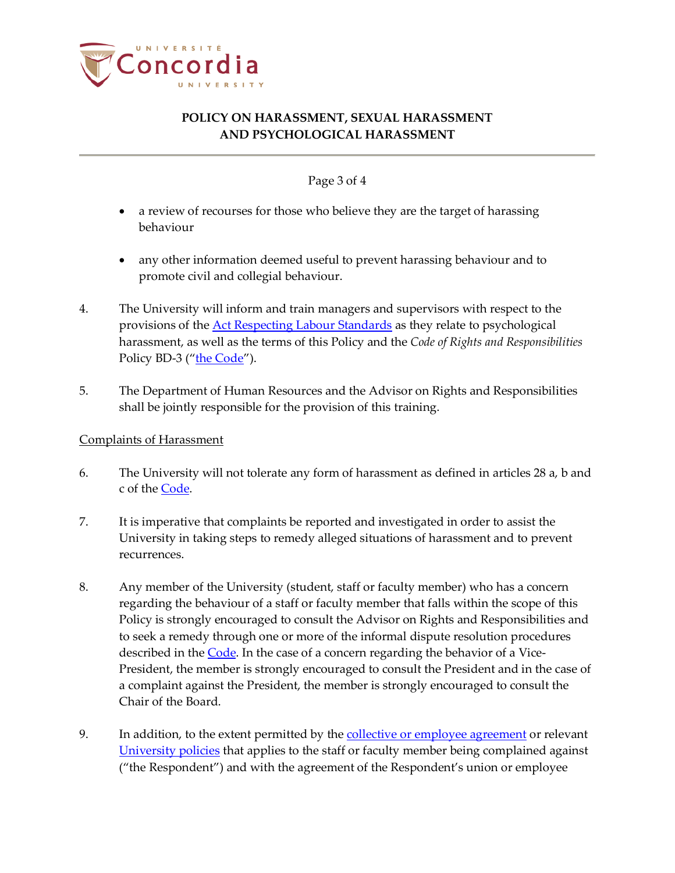

## Page 3 of 4

- a review of recourses for those who believe they are the target of harassing behaviour
- any other information deemed useful to prevent harassing behaviour and to promote civil and collegial behaviour.
- 4. The University will inform and train managers and supervisors with respect to the provisions of the **Act Respecting Labour Standards** as they relate to psychological harassment, as well as the terms of this Policy and the *Code of Rights and Responsibilities* Policy BD-3 (["the Code"](http://www.concordia.ca/content/dam/common/docs/policies/official-policies/BD-3.pdf)).
- 5. The Department of Human Resources and the Advisor on Rights and Responsibilities shall be jointly responsible for the provision of this training.

### Complaints of Harassment

- 6. The University will not tolerate any form of harassment as defined in articles 28 a, b and c of the **Code**.
- 7. It is imperative that complaints be reported and investigated in order to assist the University in taking steps to remedy alleged situations of harassment and to prevent recurrences.
- 8. Any member of the University (student, staff or faculty member) who has a concern regarding the behaviour of a staff or faculty member that falls within the scope of this Policy is strongly encouraged to consult the Advisor on Rights and Responsibilities and to seek a remedy through one or more of the informal dispute resolution procedures described in the [Code.](http://www.concordia.ca/vpirsg/documents/policies/BD-3.pdf) In the case of a concern regarding the behavior of a Vice-President, the member is strongly encouraged to consult the President and in the case of a complaint against the President, the member is strongly encouraged to consult the Chair of the Board.
- 9. In addition, to the extent permitted by the [collective or employee agreement](http://www.concordia.ca/hr/dept/employee-labour-relations/labour-agreements.html) or relevant [University policies](http://www.concordia.ca/about/policies.html) that applies to the staff or faculty member being complained against ("the Respondent") and with the agreement of the Respondent's union or employee